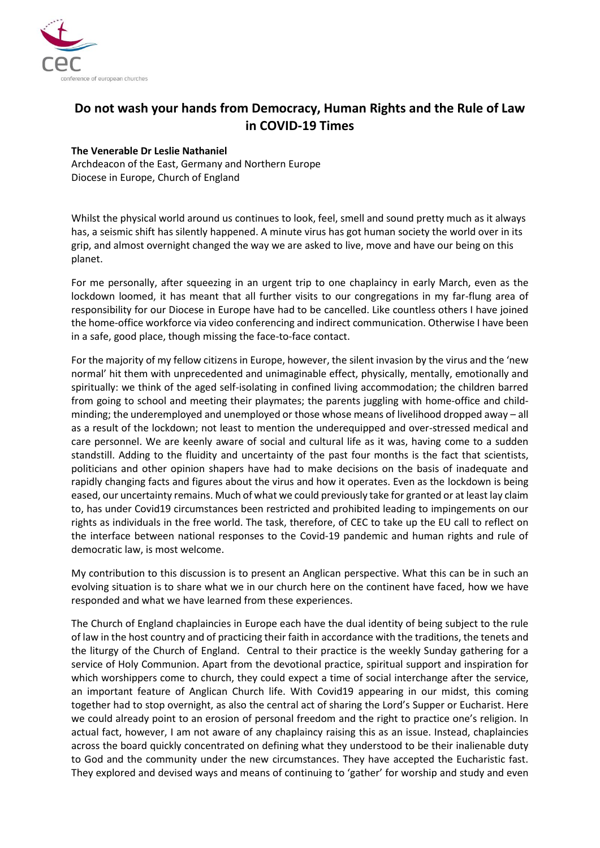

## **Do not wash your hands from Democracy, Human Rights and the Rule of Law in COVID-19 Times**

## **The Venerable Dr Leslie Nathaniel**

Archdeacon of the East, Germany and Northern Europe Diocese in Europe, Church of England

Whilst the physical world around us continues to look, feel, smell and sound pretty much as it always has, a seismic shift has silently happened. A minute virus has got human society the world over in its grip, and almost overnight changed the way we are asked to live, move and have our being on this planet.

For me personally, after squeezing in an urgent trip to one chaplaincy in early March, even as the lockdown loomed, it has meant that all further visits to our congregations in my far-flung area of responsibility for our Diocese in Europe have had to be cancelled. Like countless others I have joined the home-office workforce via video conferencing and indirect communication. Otherwise I have been in a safe, good place, though missing the face-to-face contact.

For the majority of my fellow citizens in Europe, however, the silent invasion by the virus and the 'new normal' hit them with unprecedented and unimaginable effect, physically, mentally, emotionally and spiritually: we think of the aged self-isolating in confined living accommodation; the children barred from going to school and meeting their playmates; the parents juggling with home-office and childminding; the underemployed and unemployed or those whose means of livelihood dropped away – all as a result of the lockdown; not least to mention the underequipped and over-stressed medical and care personnel. We are keenly aware of social and cultural life as it was, having come to a sudden standstill. Adding to the fluidity and uncertainty of the past four months is the fact that scientists, politicians and other opinion shapers have had to make decisions on the basis of inadequate and rapidly changing facts and figures about the virus and how it operates. Even as the lockdown is being eased, our uncertainty remains. Much of what we could previously take for granted or at least lay claim to, has under Covid19 circumstances been restricted and prohibited leading to impingements on our rights as individuals in the free world. The task, therefore, of CEC to take up the EU call to reflect on the interface between national responses to the Covid-19 pandemic and human rights and rule of democratic law, is most welcome.

My contribution to this discussion is to present an Anglican perspective. What this can be in such an evolving situation is to share what we in our church here on the continent have faced, how we have responded and what we have learned from these experiences.

The Church of England chaplaincies in Europe each have the dual identity of being subject to the rule of law in the host country and of practicing their faith in accordance with the traditions, the tenets and the liturgy of the Church of England. Central to their practice is the weekly Sunday gathering for a service of Holy Communion. Apart from the devotional practice, spiritual support and inspiration for which worshippers come to church, they could expect a time of social interchange after the service, an important feature of Anglican Church life. With Covid19 appearing in our midst, this coming together had to stop overnight, as also the central act of sharing the Lord's Supper or Eucharist. Here we could already point to an erosion of personal freedom and the right to practice one's religion. In actual fact, however, I am not aware of any chaplaincy raising this as an issue. Instead, chaplaincies across the board quickly concentrated on defining what they understood to be their inalienable duty to God and the community under the new circumstances. They have accepted the Eucharistic fast. They explored and devised ways and means of continuing to 'gather' for worship and study and even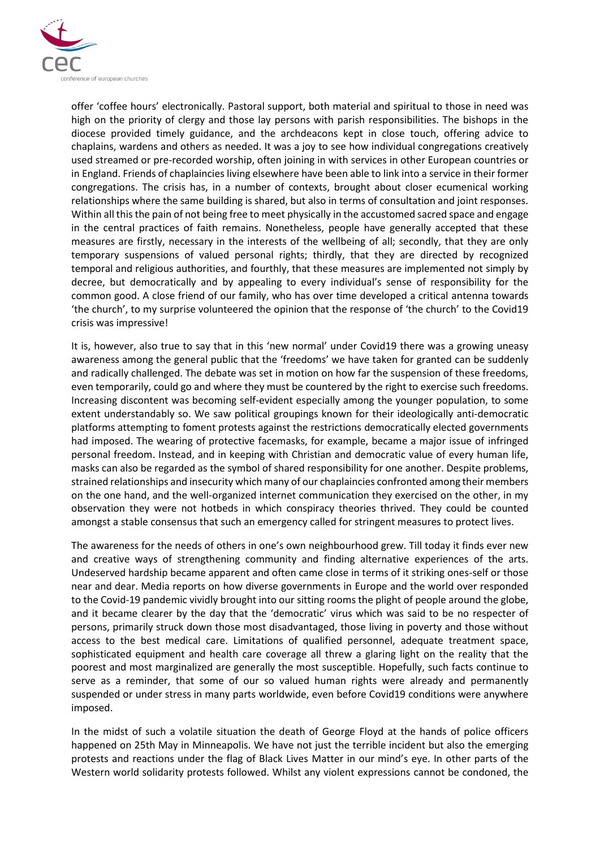

offer 'coffee hours' electronically. Pastoral support, both material and spiritual to those in need was high on the priority of clergy and those lay persons with parish responsibilities. The bishops in the diocese provided timely guidance, and the archdeacons kept in close touch, offering advice to chaplains, wardens and others as needed. It was a joy to see how individual congregations creatively used streamed or pre-recorded worship, often joining in with services in other European countries or in England. Friends of chaplaincies living elsewhere have been able to link into a service in their former congregations. The crisis has, in a number of contexts, brought about closer ecumenical working relationships where the same building is shared, but also in terms of consultation and joint responses. Within all this the pain of not being free to meet physically in the accustomed sacred space and engage in the central practices of faith remains. Nonetheless, people have generally accepted that these measures are firstly, necessary in the interests of the wellbeing of all; secondly, that they are only temporary suspensions of valued personal rights; thirdly, that they are directed by recognized temporal and religious authorities, and fourthly, that these measures are implemented not simply by decree, but democratically and by appealing to every individual's sense of responsibility for the common good. A close friend of our family, who has over time developed a critical antenna towards 'the church', to my surprise volunteered the opinion that the response of 'the church' to the Covid19 crisis was impressive!

It is, however, also true to say that in this 'new normal' under Covid19 there was a growing uneasy awareness among the general public that the 'freedoms' we have taken for granted can be suddenly and radically challenged. The debate was set in motion on how far the suspension of these freedoms, even temporarily, could go and where they must be countered by the right to exercise such freedoms. Increasing discontent was becoming self-evident especially among the younger population, to some extent understandably so. We saw political groupings known for their ideologically anti-democratic platforms attempting to foment protests against the restrictions democratically elected governments had imposed. The wearing of protective facemasks, for example, became a major issue of infringed personal freedom. Instead, and in keeping with Christian and democratic value of every human life, masks can also be regarded as the symbol of shared responsibility for one another. Despite problems, strained relationships and insecurity which many of our chaplaincies confronted among their members on the one hand, and the well-organized internet communication they exercised on the other, in my observation they were not hotbeds in which conspiracy theories thrived. They could be counted amongst a stable consensus that such an emergency called for stringent measures to protect lives.

The awareness for the needs of others in one's own neighbourhood grew. Till today it finds ever new and creative ways of strengthening community and finding alternative experiences of the arts. Undeserved hardship became apparent and often came close in terms of it striking ones-self or those near and dear. Media reports on how diverse governments in Europe and the world over responded to the Covid-19 pandemic vividly brought into our sitting rooms the plight of people around the globe, and it became clearer by the day that the 'democratic' virus which was said to be no respecter of persons, primarily struck down those most disadvantaged, those living in poverty and those without access to the best medical care. Limitations of qualified personnel, adequate treatment space, sophisticated equipment and health care coverage all threw a glaring light on the reality that the poorest and most marginalized are generally the most susceptible. Hopefully, such facts continue to serve as a reminder, that some of our so valued human rights were already and permanently suspended or under stress in many parts worldwide, even before Covid19 conditions were anywhere imposed.

In the midst of such a volatile situation the death of George Floyd at the hands of police officers happened on 25th May in Minneapolis. We have not just the terrible incident but also the emerging protests and reactions under the flag of Black Lives Matter in our mind's eye. In other parts of the Western world solidarity protests followed. Whilst any violent expressions cannot be condoned, the